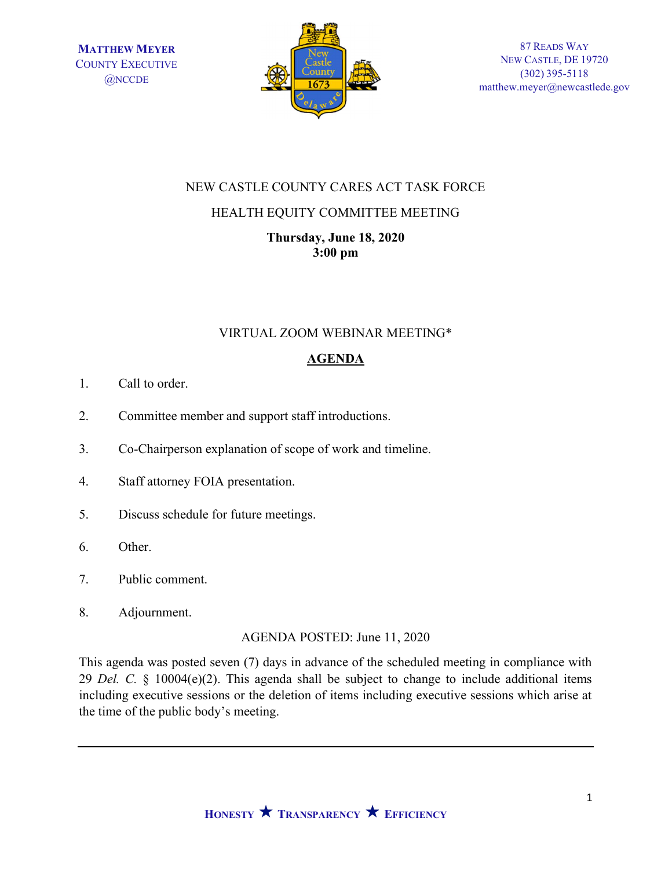

## NEW CASTLE COUNTY CARES ACT TASK FORCE

## HEALTH EQUITY COMMITTEE MEETING

Thursday, June 18, 2020 3:00 pm

## VIRTUAL ZOOM WEBINAR MEETING\*

## AGENDA

- 1. Call to order.
- 2. Committee member and support staff introductions.
- 3. Co-Chairperson explanation of scope of work and timeline.
- 4. Staff attorney FOIA presentation.
- 5. Discuss schedule for future meetings.
- 6. Other.
- 7. Public comment.
- 8. Adjournment.

AGENDA POSTED: June 11, 2020

This agenda was posted seven (7) days in advance of the scheduled meeting in compliance with 29 Del. C.  $\S$  10004(e)(2). This agenda shall be subject to change to include additional items including executive sessions or the deletion of items including executive sessions which arise at the time of the public body's meeting.